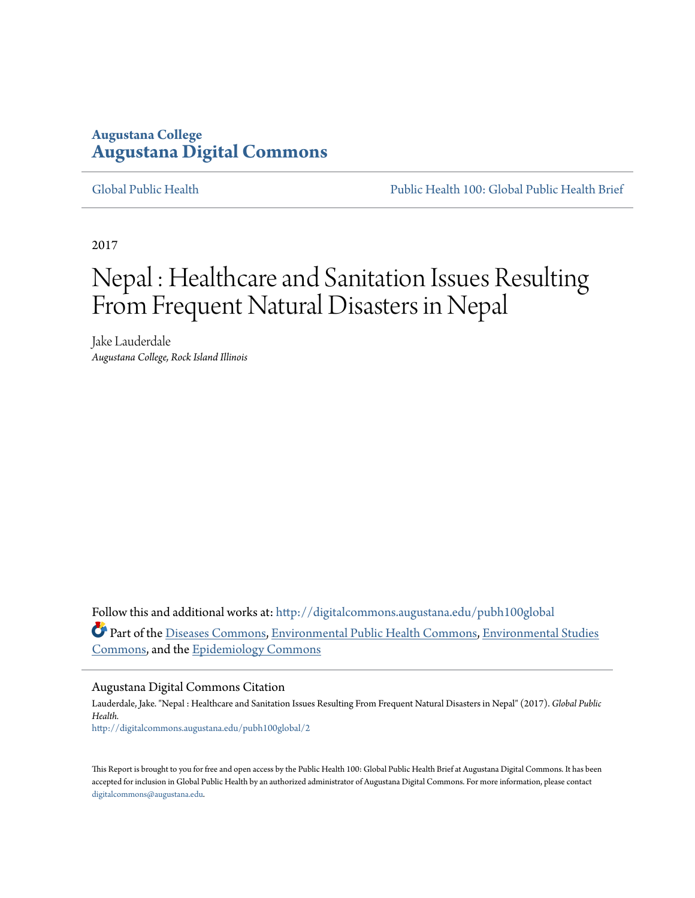## **Augustana College [Augustana Digital Commons](http://digitalcommons.augustana.edu?utm_source=digitalcommons.augustana.edu%2Fpubh100global%2F2&utm_medium=PDF&utm_campaign=PDFCoverPages)**

[Global Public Health](http://digitalcommons.augustana.edu/pubh100global?utm_source=digitalcommons.augustana.edu%2Fpubh100global%2F2&utm_medium=PDF&utm_campaign=PDFCoverPages) [Public Health 100: Global Public Health Brief](http://digitalcommons.augustana.edu/pubh100?utm_source=digitalcommons.augustana.edu%2Fpubh100global%2F2&utm_medium=PDF&utm_campaign=PDFCoverPages)

2017

# Nepal : Healthcare and Sanitation Issues Resulting From Frequent Natural Disasters in Nepal

Jake Lauderdale *Augustana College, Rock Island Illinois*

Follow this and additional works at: [http://digitalcommons.augustana.edu/pubh100global](http://digitalcommons.augustana.edu/pubh100global?utm_source=digitalcommons.augustana.edu%2Fpubh100global%2F2&utm_medium=PDF&utm_campaign=PDFCoverPages) Part of the [Diseases Commons](http://network.bepress.com/hgg/discipline/813?utm_source=digitalcommons.augustana.edu%2Fpubh100global%2F2&utm_medium=PDF&utm_campaign=PDFCoverPages), [Environmental Public Health Commons](http://network.bepress.com/hgg/discipline/739?utm_source=digitalcommons.augustana.edu%2Fpubh100global%2F2&utm_medium=PDF&utm_campaign=PDFCoverPages), [Environmental Studies](http://network.bepress.com/hgg/discipline/1333?utm_source=digitalcommons.augustana.edu%2Fpubh100global%2F2&utm_medium=PDF&utm_campaign=PDFCoverPages) [Commons,](http://network.bepress.com/hgg/discipline/1333?utm_source=digitalcommons.augustana.edu%2Fpubh100global%2F2&utm_medium=PDF&utm_campaign=PDFCoverPages) and the [Epidemiology Commons](http://network.bepress.com/hgg/discipline/740?utm_source=digitalcommons.augustana.edu%2Fpubh100global%2F2&utm_medium=PDF&utm_campaign=PDFCoverPages)

#### Augustana Digital Commons Citation

Lauderdale, Jake. "Nepal : Healthcare and Sanitation Issues Resulting From Frequent Natural Disasters in Nepal" (2017). *Global Public Health.* [http://digitalcommons.augustana.edu/pubh100global/2](http://digitalcommons.augustana.edu/pubh100global/2?utm_source=digitalcommons.augustana.edu%2Fpubh100global%2F2&utm_medium=PDF&utm_campaign=PDFCoverPages)

This Report is brought to you for free and open access by the Public Health 100: Global Public Health Brief at Augustana Digital Commons. It has been accepted for inclusion in Global Public Health by an authorized administrator of Augustana Digital Commons. For more information, please contact [digitalcommons@augustana.edu.](mailto:digitalcommons@augustana.edu)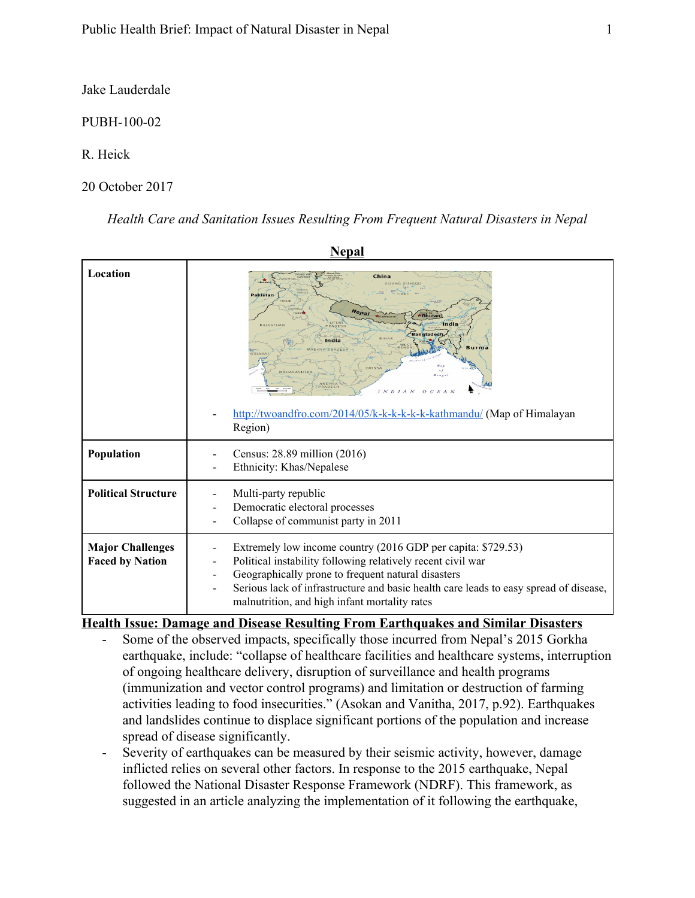Jake Lauderdale

PUBH-100-02

R. Heick

20 October 2017

*Health Care and Sanitation Issues Resulting From Frequent Natural Disasters in Nepal*

**NEP** 1

| Nepal                                             |                                                                                                                                                                                                                                                                                                                                                         |  |
|---------------------------------------------------|---------------------------------------------------------------------------------------------------------------------------------------------------------------------------------------------------------------------------------------------------------------------------------------------------------------------------------------------------------|--|
| Location                                          | China<br><b>XIZANG ZIZHIO</b><br>Pakistan<br><b>Bhutan</b><br>India<br>RAJASTHAN<br><b>ADFSE</b><br><b>Bangladesh</b><br>India<br>Burma<br>PRADESH<br>CIIADA<br>Benga<br><b>ANDHRA</b><br>RADES<br>OCEAN<br>$IN$ $D$<br>A N                                                                                                                             |  |
|                                                   | http://twoandfro.com/2014/05/k-k-k-k-k-k-kathmandu/ (Map of Himalayan<br>Region)                                                                                                                                                                                                                                                                        |  |
| Population                                        | Census: 28.89 million (2016)<br>Ethnicity: Khas/Nepalese                                                                                                                                                                                                                                                                                                |  |
| <b>Political Structure</b>                        | Multi-party republic<br>Democratic electoral processes<br>Collapse of communist party in 2011                                                                                                                                                                                                                                                           |  |
| <b>Major Challenges</b><br><b>Faced by Nation</b> | Extremely low income country (2016 GDP per capita: \$729.53)<br>Political instability following relatively recent civil war<br>Geographically prone to frequent natural disasters<br>$\overline{\phantom{a}}$<br>Serious lack of infrastructure and basic health care leads to easy spread of disease,<br>malnutrition, and high infant mortality rates |  |

**Health Issue: Damage and Disease Resulting From Earthquakes and Similar Disasters**

- Some of the observed impacts, specifically those incurred from Nepal's 2015 Gorkha earthquake, include: "collapse of healthcare facilities and healthcare systems, interruption of ongoing healthcare delivery, disruption of surveillance and health programs (immunization and vector control programs) and limitation or destruction of farming activities leading to food insecurities." (Asokan and Vanitha, 2017, p.92). Earthquakes and landslides continue to displace significant portions of the population and increase spread of disease significantly.
- Severity of earthquakes can be measured by their seismic activity, however, damage inflicted relies on several other factors. In response to the 2015 earthquake, Nepal followed the National Disaster Response Framework (NDRF). This framework, as suggested in an article analyzing the implementation of it following the earthquake,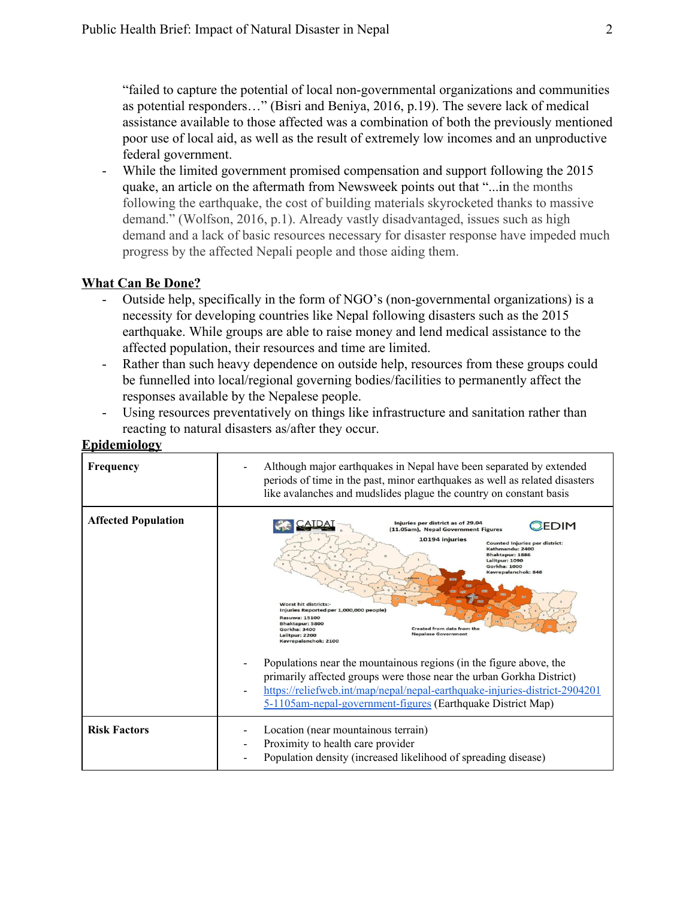"failed to capture the potential of local non-governmental organizations and communities as potential responders…" (Bisri and Beniya, 2016, p.19). The severe lack of medical assistance available to those affected was a combination of both the previously mentioned poor use of local aid, as well as the result of extremely low incomes and an unproductive federal government.

While the limited government promised compensation and support following the 2015 quake, an article on the aftermath from Newsweek points out that "...in the months following the earthquake, the cost of building materials skyrocketed thanks to massive demand." (Wolfson, 2016, p.1). Already vastly disadvantaged, issues such as high demand and a lack of basic resources necessary for disaster response have impeded much progress by the affected Nepali people and those aiding them.

### **What Can Be Done?**

- Outside help, specifically in the form of NGO's (non-governmental organizations) is a necessity for developing countries like Nepal following disasters such as the 2015 earthquake. While groups are able to raise money and lend medical assistance to the affected population, their resources and time are limited.
- Rather than such heavy dependence on outside help, resources from these groups could be funnelled into local/regional governing bodies/facilities to permanently affect the responses available by the Nepalese people.
- Using resources preventatively on things like infrastructure and sanitation rather than reacting to natural disasters as/after they occur.

| Frequency                  | Although major earthquakes in Nepal have been separated by extended<br>periods of time in the past, minor earthquakes as well as related disasters<br>like avalanches and mudslides plague the country on constant basis                                                                                                                                                                                                                                                                                                                                                                                                                                                                                                                                                                 |
|----------------------------|------------------------------------------------------------------------------------------------------------------------------------------------------------------------------------------------------------------------------------------------------------------------------------------------------------------------------------------------------------------------------------------------------------------------------------------------------------------------------------------------------------------------------------------------------------------------------------------------------------------------------------------------------------------------------------------------------------------------------------------------------------------------------------------|
| <b>Affected Population</b> | Injuries per district as of 29.04<br>EDIM<br>(11.05am), Nepal Government Figures<br>10194 injuries<br><b>Counted Injuries per district:</b><br>Kathmandu: 2400<br>Bhaktapur: 1886<br>Lalitpur: 1090<br><b>Gorkha: 1000</b><br>Kavrepalanchok: 848<br><b>Worst hit districts:-</b><br>Injuries Reported per 1,000,000 people)<br><b>Rasuwa: 15100</b><br>Bhaktapur: 5800<br>Created from data from the<br>Gorkha: 3400<br><b>Nepalese Government</b><br>Lalitpur: 2200<br>Kavrepalanchok: 2100<br>Populations near the mountainous regions (in the figure above, the<br>primarily affected groups were those near the urban Gorkha District)<br>https://reliefweb.int/map/nepal/nepal-earthquake-injuries-district-2904201<br>5-1105am-nepal-government-figures (Earthquake District Map) |
| <b>Risk Factors</b>        | Location (near mountainous terrain)<br>Proximity to health care provider<br>Population density (increased likelihood of spreading disease)                                                                                                                                                                                                                                                                                                                                                                                                                                                                                                                                                                                                                                               |

## **Epidemiology**